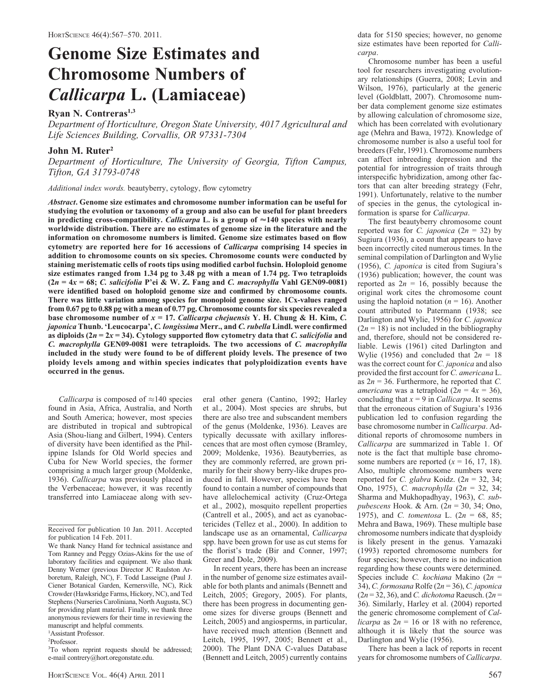# Genome Size Estimates and Chromosome Numbers of Callicarpa L. (Lamiaceae)

Ryan N. Contreras<sup>1,3</sup>

Department of Horticulture, Oregon State University, 4017 Agricultural and Life Sciences Building, Corvallis, OR 97331-7304

## John M. Ruter<sup>2</sup>

Department of Horticulture, The University of Georgia, Tifton Campus, Tifton, GA 31793-0748

Additional index words. beautyberry, cytology, flow cytometry

Abstract. Genome size estimates and chromosome number information can be useful for studying the evolution or taxonomy of a group and also can be useful for plant breeders in predicting cross-compatibility. Callicarpa L. is a group of  $\approx$ 140 species with nearly worldwide distribution. There are no estimates of genome size in the literature and the information on chromosome numbers is limited. Genome size estimates based on flow cytometry are reported here for 16 accessions of *Callicarpa* comprising 14 species in addition to chromosome counts on six species. Chromosome counts were conducted by staining meristematic cells of roots tips using modified carbol fuchsin. Holoploid genome size estimates ranged from 1.34 pg to 3.48 pg with a mean of 1.74 pg. Two tetraploids  $(2n = 4x = 68; C.$  salicifolia P'ei & W. Z. Fang and C. macrophylla Vahl GEN09-0081) were identified based on holoploid genome size and confirmed by chromosome counts. There was little variation among species for monoploid genome size. 1Cx-values ranged from 0.67 pg to 0.88 pg with a mean of 0.77 pg. Chromosome counts for six species revealed a base chromosome number of  $x = 17$ . Callicarpa chejuensis Y. H. Chung & H. Kim, C. japonica Thunb. 'Leucocarpa', C. longissima Merr., and C. rubella Lindl. were confirmed as diploids ( $2n = 2x = 34$ ). Cytology supported flow cytometry data that C. salicifolia and C. macrophylla GEN09-0081 were tetraploids. The two accessions of C. macrophylla included in the study were found to be of different ploidy levels. The presence of two ploidy levels among and within species indicates that polyploidization events have occurred in the genus.

*Callicarpa* is composed of  $\approx$  140 species found in Asia, Africa, Australia, and North and South America; however, most species are distributed in tropical and subtropical Asia (Shou-liang and Gilbert, 1994). Centers of diversity have been identified as the Philippine Islands for Old World species and Cuba for New World species, the former comprising a much larger group (Moldenke, 1936). Callicarpa was previously placed in the Verbenaceae; however, it was recently transferred into Lamiaceae along with sev-

<sup>1</sup>Assistant Professor.

2 Professor.

eral other genera (Cantino, 1992; Harley et al., 2004). Most species are shrubs, but there are also tree and subscandent members of the genus (Moldenke, 1936). Leaves are typically decussate with axillary inflorescences that are most often cymose (Bramley, 2009; Moldenke, 1936). Beautyberries, as they are commonly referred, are grown primarily for their showy berry-like drupes produced in fall. However, species have been found to contain a number of compounds that have allelochemical activity (Cruz-Ortega et al., 2002), mosquito repellent properties (Cantrell et al., 2005), and act as cyanobactericides (Tellez et al., 2000). In addition to landscape use as an ornamental, Callicarpa spp. have been grown for use as cut stems for the florist's trade (Bir and Conner, 1997; Greer and Dole, 2009).

In recent years, there has been an increase in the number of genome size estimates available for both plants and animals (Bennett and Leitch, 2005; Gregory, 2005). For plants, there has been progress in documenting genome sizes for diverse groups (Bennett and Leitch, 2005) and angiosperms, in particular, have received much attention (Bennett and Leitch, 1995, 1997, 2005; Bennett et al., 2000). The Plant DNA C-values Database (Bennett and Leitch, 2005) currently contains data for 5150 species; however, no genome size estimates have been reported for Callicarpa.

Chromosome number has been a useful tool for researchers investigating evolutionary relationships (Guerra, 2008; Levin and Wilson, 1976), particularly at the generic level (Goldblatt, 2007). Chromosome number data complement genome size estimates by allowing calculation of chromosome size, which has been correlated with evolutionary age (Mehra and Bawa, 1972). Knowledge of chromosome number is also a useful tool for breeders (Fehr, 1991). Chromosome numbers can affect inbreeding depression and the potential for introgression of traits through interspecific hybridization, among other factors that can alter breeding strategy (Fehr, 1991). Unfortunately, relative to the number of species in the genus, the cytological information is sparse for Callicarpa.

The first beautyberry chromosome count reported was for C. japonica  $(2n = 32)$  by Sugiura (1936), a count that appears to have been incorrectly cited numerous times. In the seminal compilation of Darlington and Wylie (1956), C. japonica is cited from Sugiura's (1936) publication; however, the count was reported as  $2n = 16$ , possibly because the original work cites the chromosome count using the haploid notation ( $n = 16$ ). Another count attributed to Patermann (1938; see Darlington and Wylie, 1956) for C. japonica  $(2n = 18)$  is not included in the bibliography and, therefore, should not be considered reliable. Lewis (1961) cited Darlington and Wylie (1956) and concluded that  $2n = 18$ was the correct count for C. japonica and also provided the first account for C. americana L. as  $2n = 36$ . Furthermore, he reported that C. *americana* was a tetraploid  $(2n = 4x = 36)$ , concluding that  $x = 9$  in *Callicarpa*. It seems that the erroneous citation of Sugiura's 1936 publication led to confusion regarding the base chromosome number in Callicarpa. Additional reports of chromosome numbers in Callicarpa are summarized in Table 1. Of note is the fact that multiple base chromosome numbers are reported  $(x = 16, 17, 18)$ . Also, multiple chromosome numbers were reported for C. glabra Koidz.  $(2n = 32, 34)$ ; Ono, 1975), C. macrophylla (2n = 32, 34; Sharma and Mukhopadhyay, 1963), C. subpubescens Hook. & Arn.  $(2n = 30, 34;$  Ono, 1975), and *C. tomentosa* L.  $(2n = 68, 85)$ ; Mehra and Bawa, 1969). These multiple base chromosome numbers indicate that dysploidy is likely present in the genus. Yamazaki (1993) reported chromosome numbers for four species; however, there is no indication regarding how these counts were determined. Species include C. kochiana Makino (2n = 34), C. formosana Rolfe ( $2n = 36$ ), C. japonica  $(2n = 32, 36)$ , and *C. dichotoma* Raeusch.  $(2n = 12)$ 36). Similarly, Harley et al. (2004) reported the generic chromosome complement of Callicarpa as  $2n = 16$  or 18 with no reference, although it is likely that the source was Darlington and Wylie (1956).

There has been a lack of reports in recent years for chromosome numbers of Callicarpa.

Received for publication 10 Jan. 2011. Accepted for publication 14 Feb. 2011.

We thank Nancy Hand for technical assistance and Tom Ranney and Peggy Ozias-Akins for the use of laboratory facilities and equipment. We also thank Denny Werner (previous Director JC Raulston Arboretum, Raleigh, NC), F. Todd Lasseigne (Paul J. Ciener Botanical Garden, Kernersville, NC), Rick Crowder (Hawksridge Farms, Hickory, NC), and Ted Stephens (Nurseries Caroliniana, North Augusta, SC) for providing plant material. Finally, we thank three anonymous reviewers for their time in reviewing the manuscript and helpful comments.

<sup>&</sup>lt;sup>3</sup>To whom reprint requests should be addressed; e-mail contrery@hort.oregonstate.edu.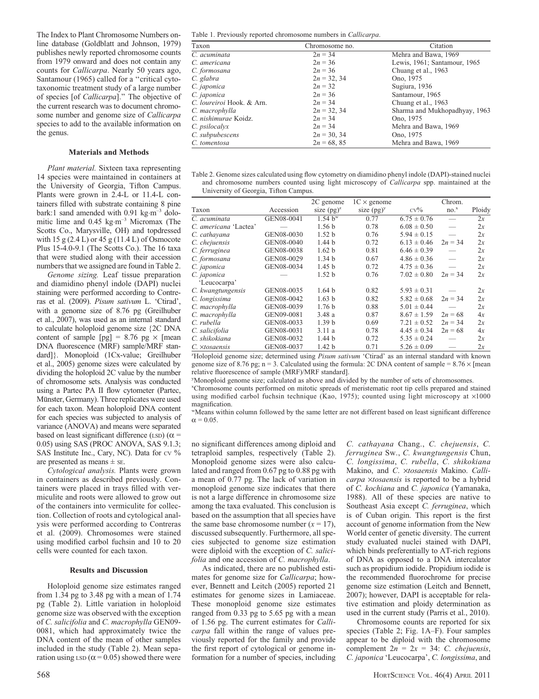The Index to Plant Chromosome Numbers online database (Goldblatt and Johnson, 1979) publishes newly reported chromosome counts from 1979 onward and does not contain any counts for Callicarpa. Nearly 50 years ago, Santamour (1965) called for a ''critical cytotaxonomic treatment study of a large number of species [of Callicarpa].'' The objective of the current research was to document chromosome number and genome size of Callicarpa species to add to the available information on the genus.

#### Materials and Methods

Plant material. Sixteen taxa representing 14 species were maintained in containers at the University of Georgia, Tifton Campus. Plants were grown in 2.4-L or 11.4-L containers filled with substrate containing 8 pine bark:1 sand amended with  $0.91 \text{ kg} \cdot \text{m}^{-3}$  dolomitic lime and 0.45 kg·m<sup>-3</sup> Micromax (The Scotts Co., Marysville, OH) and topdressed with  $15 g (2.4 L)$  or  $45 g (11.4 L)$  of Osmocote Plus 15-4.0-9.1 (The Scotts Co.). The 16 taxa that were studied along with their accession numbers that we assigned are found in Table 2.

Genome sizing. Leaf tissue preparation and diamidino phenyl indole (DAPI) nuclei staining were performed according to Contreras et al. (2009). Pisum sativum L. 'Ctirad', with a genome size of 8.76 pg (Greilhuber et al., 2007), was used as an internal standard to calculate holoploid genome size {2C DNA content of sample  $[pg] = 8.76$  pg  $\times$  [mean DNA fluorescence (MRF) sample/MRF standard]}. Monoploid (1Cx-value; Greilhuber et al., 2005) genome sizes were calculated by dividing the holoploid 2C value by the number of chromosome sets. Analysis was conducted using a Partec PA II flow cytometer (Partec, Münster, Germany). Three replicates were used for each taxon. Mean holoploid DNA content for each species was subjected to analysis of variance (ANOVA) and means were separated based on least significant difference (LSD) ( $\alpha$  = 0.05) using SAS (PROC ANOVA, SAS 9.1.3; SAS Institute Inc., Cary, NC). Data for cv % are presented as means ± SE.

Cytological analysis. Plants were grown in containers as described previously. Containers were placed in trays filled with vermiculite and roots were allowed to grow out of the containers into vermiculite for collection. Collection of roots and cytological analysis were performed according to Contreras et al. (2009). Chromosomes were stained using modified carbol fuchsin and 10 to 20 cells were counted for each taxon.

### Results and Discussion

Holoploid genome size estimates ranged from 1.34 pg to 3.48 pg with a mean of 1.74 pg (Table 2). Little variation in holoploid genome size was observed with the exception of C. salicifolia and C. macrophylla GEN09- 0081, which had approximately twice the DNA content of the mean of other samples included in the study (Table 2). Mean separation using LSD ( $\alpha$  = 0.05) showed there were

| Taxon                      | Chromosome no. | Citation                      |
|----------------------------|----------------|-------------------------------|
| $\overline{C}$ . acuminata | $2n = 34$      | Mehra and Bawa, 1969          |
| C. americana               | $2n = 36$      | Lewis, 1961; Santamour, 1965  |
| C. formosana               | $2n = 36$      | Chuang et al., 1963           |
| C. glabra                  | $2n = 32, 34$  | Ono, 1975                     |
| C. japonica                | $2n = 32$      | Sugiura, 1936                 |
| C. japonica                | $2n = 36$      | Santamour, 1965               |
| C. loureiroi Hook. & Arn.  | $2n = 34$      | Chuang et al., 1963           |
| C. macrophylla             | $2n = 32, 34$  | Sharma and Mukhopadhyay, 1963 |
| C. nishimurae Koidz.       | $2n = 34$      | Ono, 1975                     |
| C. <i>psilocalyx</i>       | $2n = 34$      | Mehra and Bawa, 1969          |
| C. subpubescens            | $2n = 30, 34$  | Ono, 1975                     |
| C. tomentosa               | $2n = 68, 85$  | Mehra and Bawa, 1969          |

| Table 2. Genome sizes calculated using flow cytometry on diamidino phenyl indole (DAPI)-stained nuclei |  |
|--------------------------------------------------------------------------------------------------------|--|
| and chromosome numbers counted using light microscopy of <i>Callicarpa</i> spp. maintained at the      |  |
| University of Georgia, Tifton Campus.                                                                  |  |

|                       |            | 2C genome           | $1C \times$ genome |                 | Chrom.             |        |
|-----------------------|------------|---------------------|--------------------|-----------------|--------------------|--------|
| Taxon                 | Accession  | size $(pg)^{z}$     | size $(pg)^y$      | $CV\%$          | $no.$ <sup>x</sup> | Ploidy |
| C. acuminata          | GEN08-0041 | 1.54 h <sup>w</sup> | 0.77               | $6.75 \pm 0.76$ |                    | 2x     |
| C. americana 'Lactea' |            | 1.56h               | 0.78               | $6.08 \pm 0.50$ |                    | 2x     |
| C. cathavana          | GEN08-0030 | 1.52 <sub>b</sub>   | 0.76               | $5.94 \pm 0.15$ |                    | 2x     |
| C. chejuensis         | GEN08-0040 | 1.44 <sub>b</sub>   | 0.72               | $6.13 \pm 0.46$ | $2n = 34$          | 2x     |
| C. ferruginea         | GEN08-0038 | 1.62 <sub>b</sub>   | 0.81               | $6.46 \pm 0.39$ |                    | 2x     |
| C. formosana          | GEN08-0029 | 1.34 <sub>b</sub>   | 0.67               | $4.86 \pm 0.36$ |                    | 2x     |
| C. japonica           | GEN08-0034 | 1.45 <sub>b</sub>   | 0.72               | $4.75 \pm 0.36$ |                    | 2x     |
| C. japonica           |            | 1.52 <sub>b</sub>   | 0.76               | $7.02 \pm 0.80$ | $2n = 34$          | 2x     |
| 'Leucocarpa'          |            |                     |                    |                 |                    |        |
| C. kwangtungensis     | GEN08-0035 | 1.64 <sub>b</sub>   | 0.82               | $5.93 \pm 0.31$ |                    | 2x     |
| C. longissima         | GEN08-0042 | 1.63 <sub>b</sub>   | 0.82               | $5.82 \pm 0.68$ | $2n = 34$          | 2x     |
| C. macrophylla        | GEN08-0039 | 1.76h               | 0.88               | $5.01 \pm 0.44$ |                    | 2x     |
| C. macrophylla        | GEN09-0081 | 3.48a               | 0.87               | $8.67 \pm 1.59$ | $2n = 68$          | 4x     |
| C. rubella            | GEN08-0033 | 1.39 <sub>b</sub>   | 0.69               | $7.21 \pm 0.52$ | $2n = 34$          | 2x     |
| C. salicifolia        | GEN08-0031 | 3.11a               | 0.78               | $4.45 \pm 0.34$ | $2n = 68$          | 4x     |
| C. shikokiana         | GEN08-0032 | 1.44h               | 0.72               | $5.35 \pm 0.24$ |                    | 2x     |
| C. ×tosaensis         | GEN08-0037 | 1.42 <sub>b</sub>   | 0.71               | $5.26 \pm 0.09$ |                    | 2x     |

<sup>2</sup>Holoploid genome size; determined using Pisum sativum 'Ctirad' as an internal standard with known genome size of 8.76 pg; n = 3. Calculated using the formula: 2C DNA content of sample =  $8.76 \times$  [mean relative fluorescence of sample (MRF)/MRF standard].

y Monoploid genome size; calculated as above and divided by the number of sets of chromosomes.

x Chromosome counts performed on mitotic spreads of meristematic root tip cells prepared and stained using modified carbol fuchsin technique (Kao, 1975); counted using light microscopy at  $\times 1000$ magnification.

wMeans within column followed by the same letter are not different based on least significant difference  $\alpha = 0.05$ .

no significant differences among diploid and tetraploid samples, respectively (Table 2). Monoploid genome sizes were also calculated and ranged from 0.67 pg to 0.88 pg with a mean of 0.77 pg. The lack of variation in monoploid genome size indicates that there is not a large difference in chromosome size among the taxa evaluated. This conclusion is based on the assumption that all species have the same base chromosome number  $(x = 17)$ , discussed subsequently. Furthermore, all species subjected to genome size estimation were diploid with the exception of C. salicifolia and one accession of C. macrophylla.

As indicated, there are no published estimates for genome size for Callicarpa; however, Bennett and Leitch (2005) reported 21 estimates for genome sizes in Lamiaceae. These monoploid genome size estimates ranged from 0.33 pg to 5.65 pg with a mean of 1.56 pg. The current estimates for Callicarpa fall within the range of values previously reported for the family and provide the first report of cytological or genome information for a number of species, including

C. cathayana Chang., C. chejuensis, C. ferruginea Sw., C. kwangtungensis Chun, C. longissima, C. rubella, C. shikokiana Makino, and C. xtosaensis Makino. Callicarpa xtosaensis is reported to be a hybrid of C. kochiana and C. japonica (Yamanaka, 1988). All of these species are native to Southeast Asia except C. ferruginea, which is of Cuban origin. This report is the first account of genome information from the New World center of genetic diversity. The current study evaluated nuclei stained with DAPI, which binds preferentially to AT-rich regions of DNA as opposed to a DNA intercalator such as propidium iodide. Propidium iodide is the recommended fluorochrome for precise genome size estimation (Leitch and Bennett, 2007); however, DAPI is acceptable for relative estimation and ploidy determination as used in the current study (Parris et al., 2010).

Chromosome counts are reported for six species (Table 2; Fig. 1A–F). Four samples appear to be diploid with the chromosome complement  $2n = 2x = 34$ : C. chejuensis, C. japonica 'Leucocarpa', C. longissima, and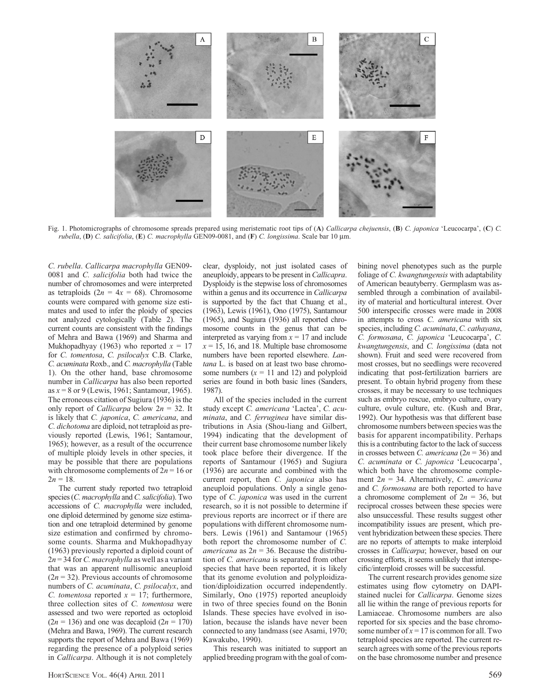

Fig. 1. Photomicrographs of chromosome spreads prepared using meristematic root tips of (A) Callicarpa chejuensis, (B) C. japonica 'Leucocarpa', (C) C. rubella, (D) C. salicifolia, (E) C. macrophylla GEN09-0081, and (F) C. longissima. Scale bar 10 µm.

C. rubella. Callicarpa macrophylla GEN09- 0081 and *C. salicifolia* both had twice the number of chromosomes and were interpreted as tetraploids  $(2n = 4x = 68)$ . Chromosome counts were compared with genome size estimates and used to infer the ploidy of species not analyzed cytologically (Table 2). The current counts are consistent with the findings of Mehra and Bawa (1969) and Sharma and Mukhopadhyay (1963) who reported  $x = 17$ for C. tomentosa, C. psilocalyx C.B. Clarke, C. acuminata Roxb., and C. macrophylla (Table 1). On the other hand, base chromosome number in Callicarpa has also been reported as  $x = 8$  or 9 (Lewis, 1961; Santamour, 1965). The erroneous citation of Sugiura (1936) is the only report of *Callicarpa* below  $2n = 32$ . It is likely that C. japonica, C. americana, and C. dichotoma are diploid, not tetraploid as previously reported (Lewis, 1961; Santamour, 1965); however, as a result of the occurrence of multiple ploidy levels in other species, it may be possible that there are populations with chromosome complements of  $2n = 16$  or  $2n = 18$ .

The current study reported two tetraploid species (C. macrophylla and C. salicifolia). Two accessions of C. macrophylla were included, one diploid determined by genome size estimation and one tetraploid determined by genome size estimation and confirmed by chromosome counts. Sharma and Mukhopadhyay (1963) previously reported a diploid count of  $2n = 34$  for C. macrophylla as well as a variant that was an apparent nullisomic aneuploid  $(2n = 32)$ . Previous accounts of chromosome numbers of C. acuminata, C. psilocalyx, and C. tomentosa reported  $x = 17$ ; furthermore, three collection sites of C. tomentosa were assessed and two were reported as octoploid  $(2n = 136)$  and one was decaploid  $(2n = 170)$ (Mehra and Bawa, 1969). The current research supports the report of Mehra and Bawa (1969) regarding the presence of a polyploid series in *Callicarpa*. Although it is not completely

clear, dysploidy, not just isolated cases of aneuploidy, appears to be present in Callicapra. Dysploidy is the stepwise loss of chromosomes within a genus and its occurrence in *Callicarpa* is supported by the fact that Chuang et al., (1963), Lewis (1961), Ono (1975), Santamour (1965), and Sugiura (1936) all reported chromosome counts in the genus that can be interpreted as varying from  $x = 17$  and include  $x = 15$ , 16, and 18. Multiple base chromosome numbers have been reported elsewhere. Lantana L. is based on at least two base chromosome numbers  $(x = 11$  and 12) and polyploid series are found in both basic lines (Sanders, 1987).

All of the species included in the current study except C. americana 'Lactea', C. acuminata, and C. ferruginea have similar distributions in Asia (Shou-liang and Gilbert, 1994) indicating that the development of their current base chromosome number likely took place before their divergence. If the reports of Santamour (1965) and Sugiura (1936) are accurate and combined with the current report, then C. japonica also has aneuploid populations. Only a single genotype of C. japonica was used in the current research, so it is not possible to determine if previous reports are incorrect or if there are populations with different chromosome numbers. Lewis (1961) and Santamour (1965) both report the chromosome number of C. americana as  $2n = 36$ . Because the distribution of C. americana is separated from other species that have been reported, it is likely that its genome evolution and polyploidization/diploidization occurred independently. Similarly, Ono (1975) reported aneuploidy in two of three species found on the Bonin Islands. These species have evolved in isolation, because the islands have never been connected to any landmass (see Asami, 1970; Kawakubo, 1990).

This research was initiated to support an applied breeding program with the goal of combining novel phenotypes such as the purple foliage of C. kwangtungensis with adaptability of American beautyberry. Germplasm was assembled through a combination of availability of material and horticultural interest. Over 500 interspecific crosses were made in 2008 in attempts to cross C. americana with six species, including C. acuminata, C. cathayana, C. formosana, C. japonica 'Leucocarpa', C. kwangtungensis, and C. longissima (data not shown). Fruit and seed were recovered from most crosses, but no seedlings were recovered indicating that post-fertilization barriers are present. To obtain hybrid progeny from these crosses, it may be necessary to use techniques such as embryo rescue, embryo culture, ovary culture, ovule culture, etc. (Kush and Brar, 1992). Our hypothesis was that different base chromosome numbers between species was the basis for apparent incompatibility. Perhaps this is a contributing factor to the lack of success in crosses between C. americana ( $2n = 36$ ) and C. acuminata or C. japonica 'Leucocarpa', which both have the chromosome complement  $2n = 34$ . Alternatively, C. americana and C. formosana are both reported to have a chromosome complement of  $2n = 36$ , but reciprocal crosses between these species were also unsuccessful. These results suggest other incompatibility issues are present, which prevent hybridization between these species. There are no reports of attempts to make interploid crosses in Callicarpa; however, based on our crossing efforts, it seems unlikely that interspecific/interploid crosses will be successful.

The current research provides genome size estimates using flow cytometry on DAPIstained nuclei for Callicarpa. Genome sizes all lie within the range of previous reports for Lamiaceae. Chromosome numbers are also reported for six species and the base chromosome number of  $x = 17$  is common for all. Two tetraploid species are reported. The current research agrees with some of the previous reports on the base chromosome number and presence